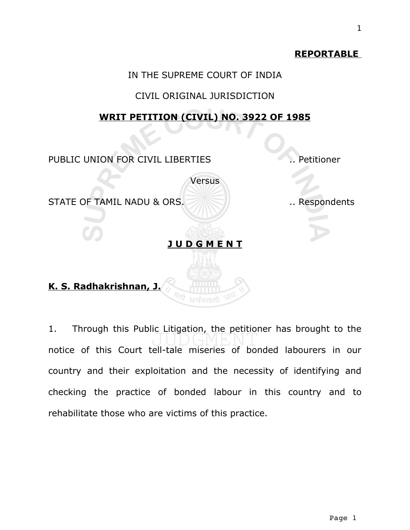# **REPORTABLE**

### IN THE SUPREME COURT OF INDIA

### CIVIL ORIGINAL JURISDICTION

### **WRIT PETITION (CIVIL) NO. 3922 OF 1985**

**Versus** 

PUBLIC UNION FOR CIVIL LIBERTIES .. Petitioner

STATE OF TAMIL NADU & ORS. Nespondents

### **J U D G M E N T**

# **K. S. Radhakrishnan, J.**

1. Through this Public Litigation, the petitioner has brought to the notice of this Court tell-tale miseries of bonded labourers in our country and their exploitation and the necessity of identifying and checking the practice of bonded labour in this country and to rehabilitate those who are victims of this practice.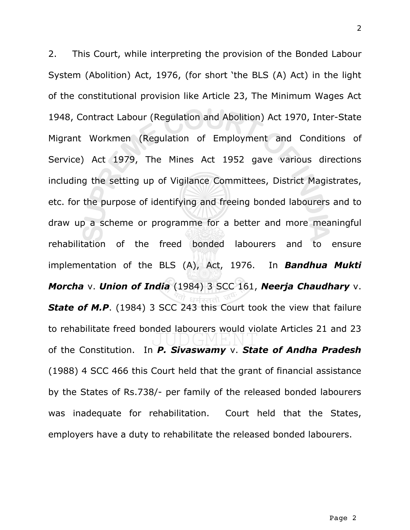2. This Court, while interpreting the provision of the Bonded Labour System (Abolition) Act, 1976, (for short 'the BLS (A) Act) in the light of the constitutional provision like Article 23, The Minimum Wages Act 1948, Contract Labour (Regulation and Abolition) Act 1970, Inter-State Migrant Workmen (Regulation of Employment and Conditions of Service) Act 1979, The Mines Act 1952 gave various directions including the setting up of Vigilance Committees, District Magistrates, etc. for the purpose of identifying and freeing bonded labourers and to draw up a scheme or programme for a better and more meaningful rehabilitation of the freed bonded labourers and to ensure implementation of the BLS (A), Act, 1976. In *Bandhua Mukti Morcha* v. *Union of India* (1984) 3 SCC 161, *Neerja Chaudhary* v. *State of M.P*. (1984) 3 SCC 243 this Court took the view that failure to rehabilitate freed bonded labourers would violate Articles 21 and 23 of the Constitution. In *P. Sivaswamy* v. *State of Andha Pradesh* (1988) 4 SCC 466 this Court held that the grant of financial assistance by the States of Rs.738/- per family of the released bonded labourers was inadequate for rehabilitation. Court held that the States, employers have a duty to rehabilitate the released bonded labourers.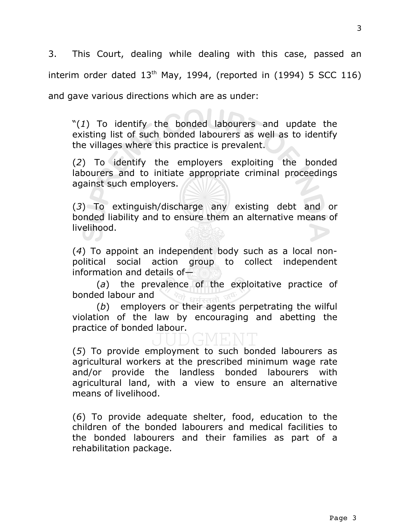3. This Court, dealing while dealing with this case, passed an interim order dated  $13<sup>th</sup>$  May, 1994, (reported in (1994) 5 SCC 116) and gave various directions which are as under:

"(*1*) To identify the bonded labourers and update the existing list of such bonded labourers as well as to identify the villages where this practice is prevalent.

(*2*) To identify the employers exploiting the bonded labourers and to initiate appropriate criminal proceedings against such employers.

(*3*) To extinguish/discharge any existing debt and or bonded liability and to ensure them an alternative means of livelihood.

(*4*) To appoint an independent body such as a local nonpolitical social action group to collect independent information and details of—

(*a*) the prevalence of the exploitative practice of bonded labour and

(*b*) employers or their agents perpetrating the wilful violation of the law by encouraging and abetting the practice of bonded labour.

(*5*) To provide employment to such bonded labourers as agricultural workers at the prescribed minimum wage rate and/or provide the landless bonded labourers with agricultural land, with a view to ensure an alternative means of livelihood.

(*6*) To provide adequate shelter, food, education to the children of the bonded labourers and medical facilities to the bonded labourers and their families as part of a rehabilitation package.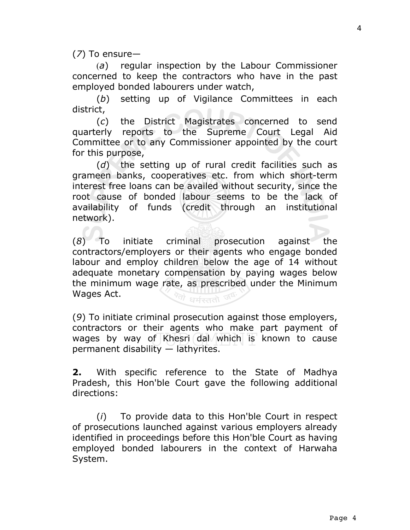(*7*) To ensure—

(*a*) regular inspection by the Labour Commissioner concerned to keep the contractors who have in the past employed bonded labourers under watch,

(*b*) setting up of Vigilance Committees in each district,

(*c*) the District Magistrates concerned to send quarterly reports to the Supreme Court Legal Aid Committee or to any Commissioner appointed by the court for this purpose,

(*d*) the setting up of rural credit facilities such as grameen banks, cooperatives etc. from which short-term interest free loans can be availed without security, since the root cause of bonded labour seems to be the lack of availability of funds (credit through an institutional network).

(*8*) To initiate criminal prosecution against the contractors/employers or their agents who engage bonded labour and employ children below the age of 14 without adequate monetary compensation by paying wages below the minimum wage rate, as prescribed under the Minimum Wages Act. धर्मस्ततो

(*9*) To initiate criminal prosecution against those employers, contractors or their agents who make part payment of wages by way of Khesri dal which is known to cause permanent disability — lathyrites.

**2.** With specific reference to the State of Madhya Pradesh, this Hon'ble Court gave the following additional directions:

(*i*) To provide data to this Hon'ble Court in respect of prosecutions launched against various employers already identified in proceedings before this Hon'ble Court as having employed bonded labourers in the context of Harwaha System.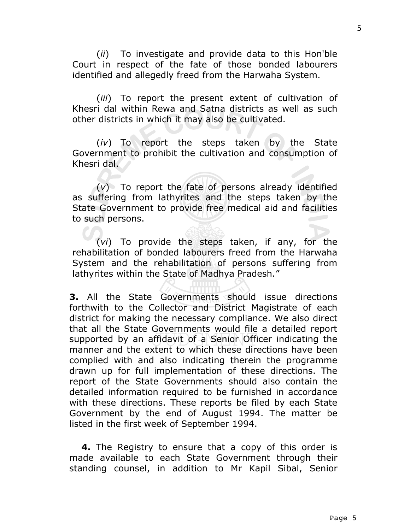(*ii*) To investigate and provide data to this Hon'ble Court in respect of the fate of those bonded labourers identified and allegedly freed from the Harwaha System.

(*iii*) To report the present extent of cultivation of Khesri dal within Rewa and Satna districts as well as such other districts in which it may also be cultivated.

(*iv*) To report the steps taken by the State Government to prohibit the cultivation and consumption of Khesri dal.

(*v*) To report the fate of persons already identified as suffering from lathyrites and the steps taken by the State Government to provide free medical aid and facilities to such persons.

(*vi*) To provide the steps taken, if any, for the rehabilitation of bonded labourers freed from the Harwaha System and the rehabilitation of persons suffering from lathyrites within the State of Madhya Pradesh."

**3.** All the State Governments should issue directions forthwith to the Collector and District Magistrate of each district for making the necessary compliance. We also direct that all the State Governments would file a detailed report supported by an affidavit of a Senior Officer indicating the manner and the extent to which these directions have been complied with and also indicating therein the programme drawn up for full implementation of these directions. The report of the State Governments should also contain the detailed information required to be furnished in accordance with these directions. These reports be filed by each State Government by the end of August 1994. The matter be listed in the first week of September 1994.

**4.** The Registry to ensure that a copy of this order is made available to each State Government through their standing counsel, in addition to Mr Kapil Sibal, Senior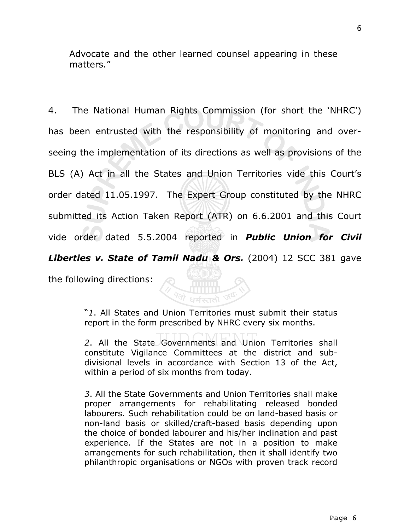Advocate and the other learned counsel appearing in these matters."

4. The National Human Rights Commission (for short the 'NHRC') has been entrusted with the responsibility of monitoring and overseeing the implementation of its directions as well as provisions of the BLS (A) Act in all the States and Union Territories vide this Court's order dated 11.05.1997. The Expert Group constituted by the NHRC submitted its Action Taken Report (ATR) on 6.6.2001 and this Court vide order dated 5.5.2004 reported in *Public Union for Civil Liberties v. State of Tamil Nadu & Ors.* (2004) 12 SCC 381 gave

the following directions:

"*1*. All States and Union Territories must submit their status report in the form prescribed by NHRC every six months.

**Q** Immin

*2*. All the State Governments and Union Territories shall constitute Vigilance Committees at the district and subdivisional levels in accordance with Section 13 of the Act, within a period of six months from today.

*3*. All the State Governments and Union Territories shall make proper arrangements for rehabilitating released bonded labourers. Such rehabilitation could be on land-based basis or non-land basis or skilled/craft-based basis depending upon the choice of bonded labourer and his/her inclination and past experience. If the States are not in a position to make arrangements for such rehabilitation, then it shall identify two philanthropic organisations or NGOs with proven track record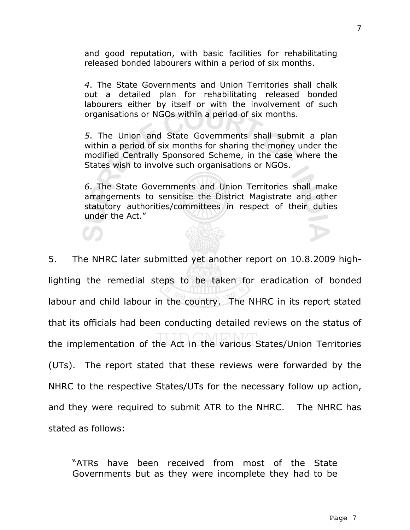and good reputation, with basic facilities for rehabilitating released bonded labourers within a period of six months.

*4*. The State Governments and Union Territories shall chalk out a detailed plan for rehabilitating released bonded labourers either by itself or with the involvement of such organisations or NGOs within a period of six months.

*5*. The Union and State Governments shall submit a plan within a period of six months for sharing the money under the modified Centrally Sponsored Scheme, in the case where the States wish to involve such organisations or NGOs.

*6*. The State Governments and Union Territories shall make arrangements to sensitise the District Magistrate and other statutory authorities/committees in respect of their duties under the Act."

5. The NHRC later submitted yet another report on 10.8.2009 highlighting the remedial steps to be taken for eradication of bonded labour and child labour in the country. The NHRC in its report stated that its officials had been conducting detailed reviews on the status of the implementation of the Act in the various States/Union Territories (UTs). The report stated that these reviews were forwarded by the NHRC to the respective States/UTs for the necessary follow up action, and they were required to submit ATR to the NHRC. The NHRC has stated as follows:

"ATRs have been received from most of the State Governments but as they were incomplete they had to be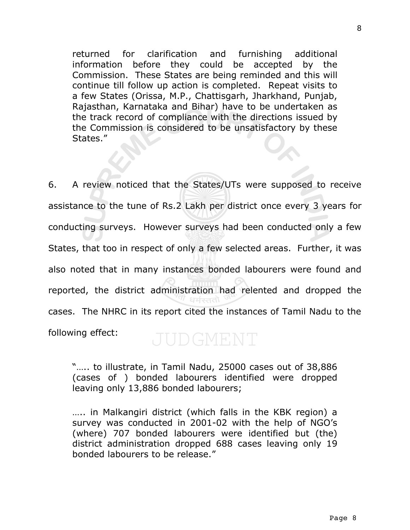returned for clarification and furnishing additional information before they could be accepted by the Commission. These States are being reminded and this will continue till follow up action is completed. Repeat visits to a few States (Orissa, M.P., Chattisgarh, Jharkhand, Punjab, Rajasthan, Karnataka and Bihar) have to be undertaken as the track record of compliance with the directions issued by the Commission is considered to be unsatisfactory by these States."

6. A review noticed that the States/UTs were supposed to receive assistance to the tune of Rs.2 Lakh per district once every 3 years for conducting surveys. However surveys had been conducted only a few States, that too in respect of only a few selected areas. Further, it was also noted that in many instances bonded labourers were found and reported, the district administration had relented and dropped the cases. The NHRC in its report cited the instances of Tamil Nadu to the following effect: JUDGMENT

"….. to illustrate, in Tamil Nadu, 25000 cases out of 38,886 (cases of ) bonded labourers identified were dropped leaving only 13,886 bonded labourers;

….. in Malkangiri district (which falls in the KBK region) a survey was conducted in 2001-02 with the help of NGO's (where) 707 bonded labourers were identified but (the) district administration dropped 688 cases leaving only 19 bonded labourers to be release."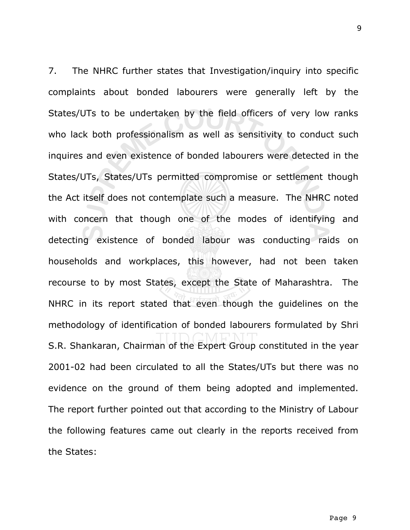7. The NHRC further states that Investigation/inquiry into specific complaints about bonded labourers were generally left by the States/UTs to be undertaken by the field officers of very low ranks who lack both professionalism as well as sensitivity to conduct such inquires and even existence of bonded labourers were detected in the States/UTs, States/UTs permitted compromise or settlement though the Act itself does not contemplate such a measure. The NHRC noted with concern that though one of the modes of identifying and detecting existence of bonded labour was conducting raids on households and workplaces, this however, had not been taken recourse to by most States, except the State of Maharashtra. The NHRC in its report stated that even though the guidelines on the methodology of identification of bonded labourers formulated by Shri S.R. Shankaran, Chairman of the Expert Group constituted in the year 2001-02 had been circulated to all the States/UTs but there was no evidence on the ground of them being adopted and implemented. The report further pointed out that according to the Ministry of Labour the following features came out clearly in the reports received from the States: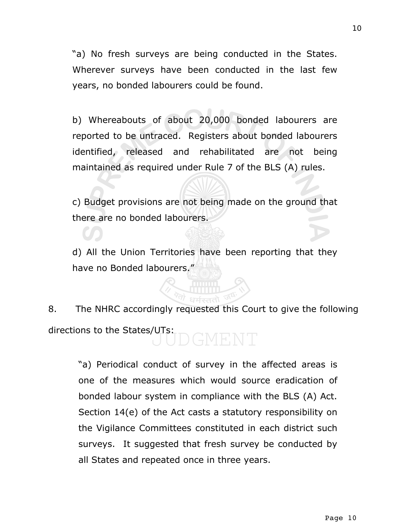"a) No fresh surveys are being conducted in the States. Wherever surveys have been conducted in the last few years, no bonded labourers could be found.

b) Whereabouts of about 20,000 bonded labourers are reported to be untraced. Registers about bonded labourers identified, released and rehabilitated are not being maintained as required under Rule 7 of the BLS (A) rules.

c) Budget provisions are not being made on the ground that there are no bonded labourers.

d) All the Union Territories have been reporting that they have no Bonded labourers."

8. The NHRC accordingly requested this Court to give the following directions to the States/UTs: DGMENT

"a) Periodical conduct of survey in the affected areas is one of the measures which would source eradication of bonded labour system in compliance with the BLS (A) Act. Section 14(e) of the Act casts a statutory responsibility on the Vigilance Committees constituted in each district such surveys. It suggested that fresh survey be conducted by all States and repeated once in three years.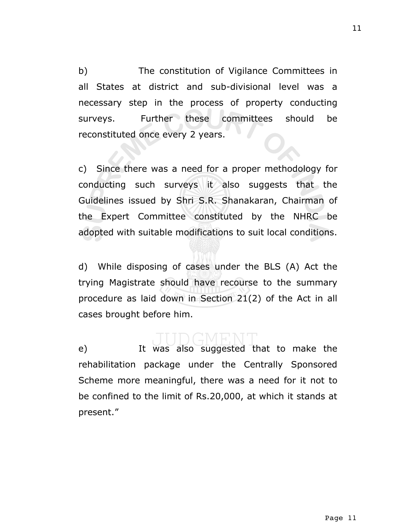b) The constitution of Vigilance Committees in all States at district and sub-divisional level was a necessary step in the process of property conducting surveys. Further these committees should be reconstituted once every 2 years.

c) Since there was a need for a proper methodology for conducting such surveys it also suggests that the Guidelines issued by Shri S.R. Shanakaran, Chairman of the Expert Committee constituted by the NHRC be adopted with suitable modifications to suit local conditions.

d) While disposing of cases under the BLS (A) Act the trying Magistrate should have recourse to the summary procedure as laid down in Section 21(2) of the Act in all cases brought before him.

e) It was also suggested that to make the rehabilitation package under the Centrally Sponsored Scheme more meaningful, there was a need for it not to be confined to the limit of Rs.20,000, at which it stands at present."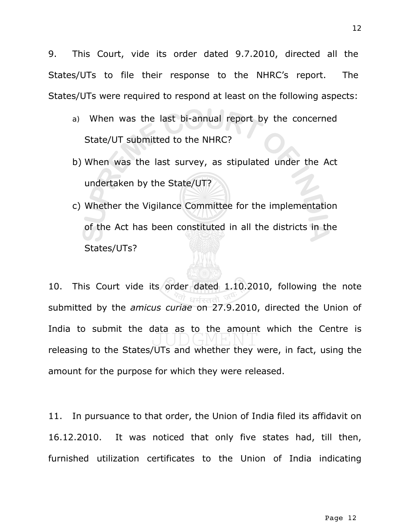9. This Court, vide its order dated 9.7.2010, directed all the States/UTs to file their response to the NHRC's report. The States/UTs were required to respond at least on the following aspects:

- a) When was the last bi-annual report by the concerned State/UT submitted to the NHRC?
- b) When was the last survey, as stipulated under the Act undertaken by the State/UT?
- c) Whether the Vigilance Committee for the implementation of the Act has been constituted in all the districts in the States/UTs?

10. This Court vide its order dated 1.10.2010, following the note submitted by the *amicus curiae* on 27.9.2010, directed the Union of India to submit the data as to the amount which the Centre is releasing to the States/UTs and whether they were, in fact, using the amount for the purpose for which they were released.

11. In pursuance to that order, the Union of India filed its affidavit on 16.12.2010. It was noticed that only five states had, till then, furnished utilization certificates to the Union of India indicating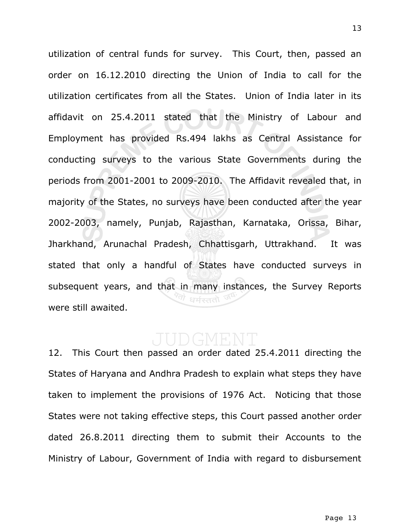utilization of central funds for survey. This Court, then, passed an order on 16.12.2010 directing the Union of India to call for the utilization certificates from all the States. Union of India later in its affidavit on 25.4.2011 stated that the Ministry of Labour and Employment has provided Rs.494 lakhs as Central Assistance for conducting surveys to the various State Governments during the periods from 2001-2001 to 2009-2010. The Affidavit revealed that, in majority of the States, no surveys have been conducted after the year 2002-2003, namely, Punjab, Rajasthan, Karnataka, Orissa, Bihar, Jharkhand, Arunachal Pradesh, Chhattisgarh, Uttrakhand. It was stated that only a handful of States have conducted surveys in subsequent years, and that in many instances, the Survey Reports were still awaited.

12. This Court then passed an order dated 25.4.2011 directing the States of Haryana and Andhra Pradesh to explain what steps they have taken to implement the provisions of 1976 Act. Noticing that those States were not taking effective steps, this Court passed another order dated 26.8.2011 directing them to submit their Accounts to the Ministry of Labour, Government of India with regard to disbursement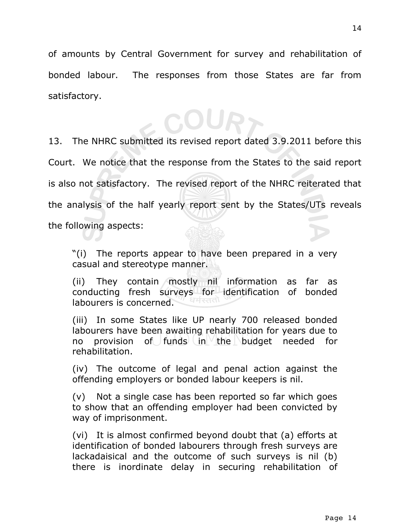of amounts by Central Government for survey and rehabilitation of bonded labour. The responses from those States are far from satisfactory.

COUR>

13. The NHRC submitted its revised report dated 3.9.2011 before this Court. We notice that the response from the States to the said report is also not satisfactory. The revised report of the NHRC reiterated that the analysis of the half yearly report sent by the States/UTs reveals the following aspects:

"(i) The reports appear to have been prepared in a very casual and stereotype manner.

(ii) They contain mostly nil information as far as conducting fresh surveys for identification of bonded धर्मस्तत labourers is concerned.

(iii) In some States like UP nearly 700 released bonded labourers have been awaiting rehabilitation for years due to no provision of funds in the budget needed for rehabilitation.

(iv) The outcome of legal and penal action against the offending employers or bonded labour keepers is nil.

(v) Not a single case has been reported so far which goes to show that an offending employer had been convicted by way of imprisonment.

(vi) It is almost confirmed beyond doubt that (a) efforts at identification of bonded labourers through fresh surveys are lackadaisical and the outcome of such surveys is nil (b) there is inordinate delay in securing rehabilitation of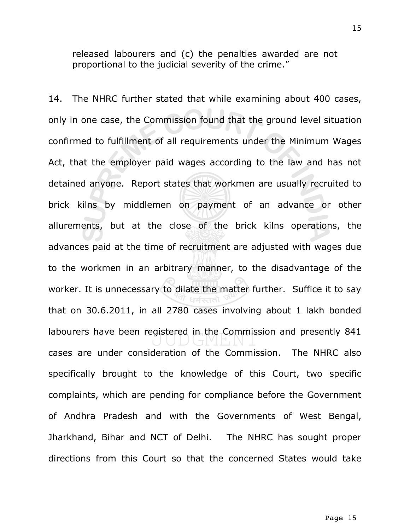released labourers and (c) the penalties awarded are not proportional to the judicial severity of the crime."

14. The NHRC further stated that while examining about 400 cases, only in one case, the Commission found that the ground level situation confirmed to fulfillment of all requirements under the Minimum Wages Act, that the employer paid wages according to the law and has not detained anyone. Report states that workmen are usually recruited to brick kilns by middlemen on payment of an advance or other allurements, but at the close of the brick kilns operations, the advances paid at the time of recruitment are adjusted with wages due to the workmen in an arbitrary manner, to the disadvantage of the worker. It is unnecessary to dilate the matter further. Suffice it to say that on 30.6.2011, in all 2780 cases involving about 1 lakh bonded labourers have been registered in the Commission and presently 841 cases are under consideration of the Commission. The NHRC also specifically brought to the knowledge of this Court, two specific complaints, which are pending for compliance before the Government of Andhra Pradesh and with the Governments of West Bengal, Jharkhand, Bihar and NCT of Delhi. The NHRC has sought proper directions from this Court so that the concerned States would take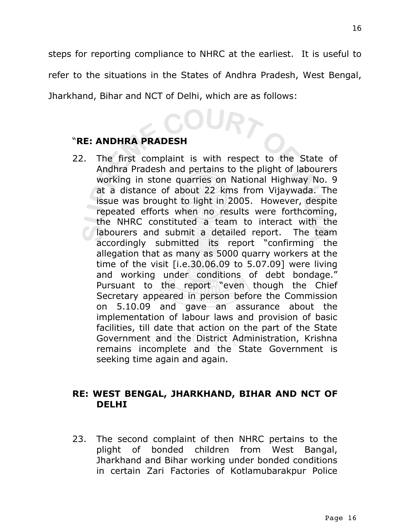steps for reporting compliance to NHRC at the earliest. It is useful to refer to the situations in the States of Andhra Pradesh, West Bengal, Jharkhand, Bihar and NCT of Delhi, which are as follows:

# "**RE: ANDHRA PRADESH**

22. The first complaint is with respect to the State of Andhra Pradesh and pertains to the plight of labourers working in stone quarries on National Highway No. 9 at a distance of about 22 kms from Vijaywada. The issue was brought to light in 2005. However, despite repeated efforts when no results were forthcoming, the NHRC constituted a team to interact with the labourers and submit a detailed report. The team accordingly submitted its report "confirming the allegation that as many as 5000 quarry workers at the time of the visit [i.e.30.06.09 to 5.07.09] were living and working under conditions of debt bondage." Pursuant to the report "even though the Chief Secretary appeared in person before the Commission on 5.10.09 and gave an assurance about the implementation of labour laws and provision of basic facilities, till date that action on the part of the State Government and the District Administration, Krishna remains incomplete and the State Government is seeking time again and again.

### **RE: WEST BENGAL, JHARKHAND, BIHAR AND NCT OF DELHI**

23. The second complaint of then NHRC pertains to the plight of bonded children from West Bangal, Jharkhand and Bihar working under bonded conditions in certain Zari Factories of Kotlamubarakpur Police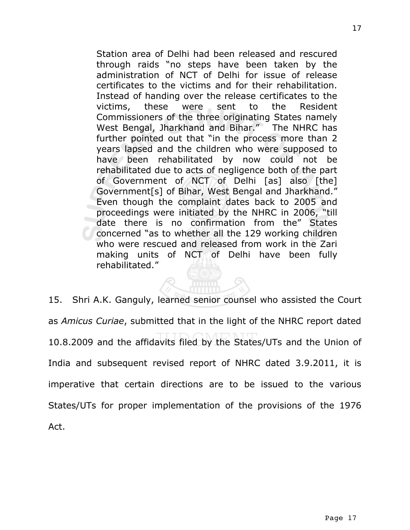Station area of Delhi had been released and rescured through raids "no steps have been taken by the administration of NCT of Delhi for issue of release certificates to the victims and for their rehabilitation. Instead of handing over the release certificates to the victims, these were sent to the Resident Commissioners of the three originating States namely West Bengal, Jharkhand and Bihar." The NHRC has further pointed out that "in the process more than 2 years lapsed and the children who were supposed to have been rehabilitated by now could not be rehabilitated due to acts of negligence both of the part of Government of NCT of Delhi [as] also [the] Government[s] of Bihar, West Bengal and Jharkhand." Even though the complaint dates back to 2005 and proceedings were initiated by the NHRC in 2006, "till date there is no confirmation from the" States concerned "as to whether all the 129 working children who were rescued and released from work in the Zari making units of NCT of Delhi have been fully rehabilitated."

15. Shri A.K. Ganguly, learned senior counsel who assisted the Court as *Amicus Curiae*, submitted that in the light of the NHRC report dated 10.8.2009 and the affidavits filed by the States/UTs and the Union of India and subsequent revised report of NHRC dated 3.9.2011, it is imperative that certain directions are to be issued to the various States/UTs for proper implementation of the provisions of the 1976 Act.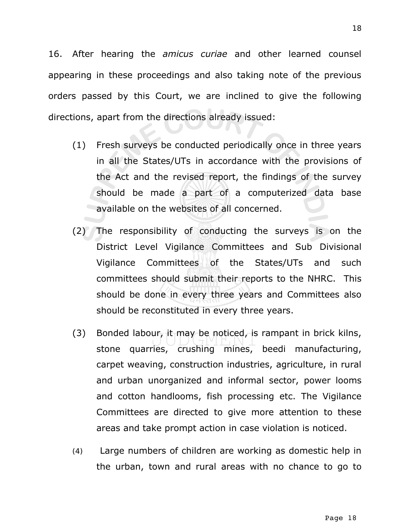16. After hearing the *amicus curiae* and other learned counsel appearing in these proceedings and also taking note of the previous orders passed by this Court, we are inclined to give the following directions, apart from the directions already issued:

- (1) Fresh surveys be conducted periodically once in three years in all the States/UTs in accordance with the provisions of the Act and the revised report, the findings of the survey should be made a part of a computerized data base available on the websites of all concerned.
- (2) The responsibility of conducting the surveys is on the District Level Vigilance Committees and Sub Divisional Vigilance Committees of the States/UTs and such committees should submit their reports to the NHRC. This should be done in every three years and Committees also should be reconstituted in every three years.
- (3) Bonded labour, it may be noticed, is rampant in brick kilns, stone quarries, crushing mines, beedi manufacturing, carpet weaving, construction industries, agriculture, in rural and urban unorganized and informal sector, power looms and cotton handlooms, fish processing etc. The Vigilance Committees are directed to give more attention to these areas and take prompt action in case violation is noticed.
- (4) Large numbers of children are working as domestic help in the urban, town and rural areas with no chance to go to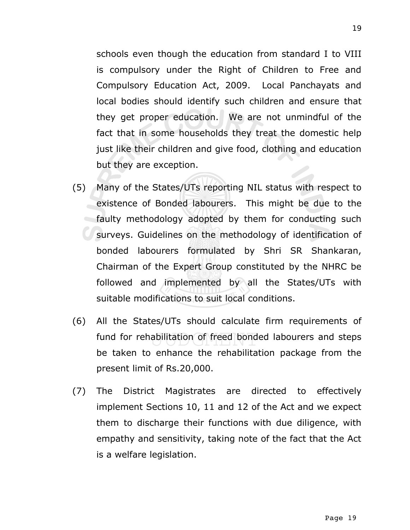schools even though the education from standard I to VIII is compulsory under the Right of Children to Free and Compulsory Education Act, 2009. Local Panchayats and local bodies should identify such children and ensure that they get proper education. We are not unmindful of the fact that in some households they treat the domestic help just like their children and give food, clothing and education but they are exception.

- (5) Many of the States/UTs reporting NIL status with respect to existence of Bonded labourers. This might be due to the faulty methodology adopted by them for conducting such surveys. Guidelines on the methodology of identification of bonded labourers formulated by Shri SR Shankaran, Chairman of the Expert Group constituted by the NHRC be followed and implemented by all the States/UTs with suitable modifications to suit local conditions.
- (6) All the States/UTs should calculate firm requirements of fund for rehabilitation of freed bonded labourers and steps be taken to enhance the rehabilitation package from the present limit of Rs.20,000.
- (7) The District Magistrates are directed to effectively implement Sections 10, 11 and 12 of the Act and we expect them to discharge their functions with due diligence, with empathy and sensitivity, taking note of the fact that the Act is a welfare legislation.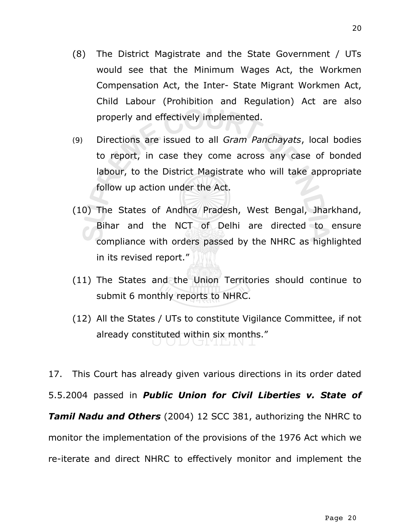- (8) The District Magistrate and the State Government / UTs would see that the Minimum Wages Act, the Workmen Compensation Act, the Inter- State Migrant Workmen Act, Child Labour (Prohibition and Regulation) Act are also properly and effectively implemented.
- (9) Directions are issued to all *Gram Panchayats*, local bodies to report, in case they come across any case of bonded labour, to the District Magistrate who will take appropriate follow up action under the Act.
- (10) The States of Andhra Pradesh, West Bengal, Jharkhand, Bihar and the NCT of Delhi are directed to ensure compliance with orders passed by the NHRC as highlighted in its revised report."
- (11) The States and the Union Territories should continue to submit 6 monthly reports to NHRC.
- (12) All the States / UTs to constitute Vigilance Committee, if not already constituted within six months."

17. This Court has already given various directions in its order dated 5.5.2004 passed in *Public Union for Civil Liberties v. State of Tamil Nadu and Others* (2004) 12 SCC 381, authorizing the NHRC to monitor the implementation of the provisions of the 1976 Act which we re-iterate and direct NHRC to effectively monitor and implement the